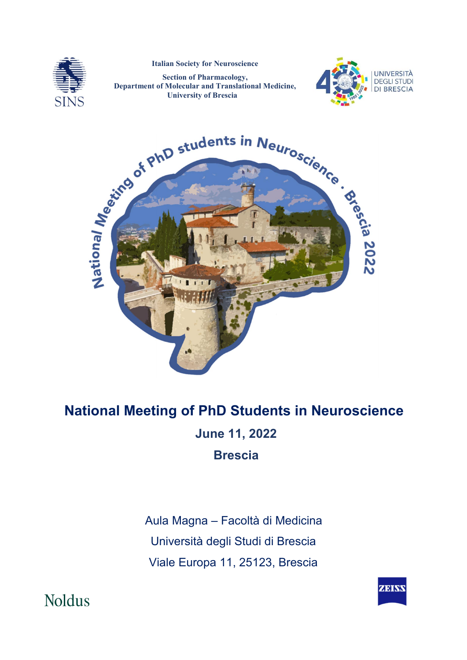

Italian Society for Neuroscience

Section of Pharmacology, Department of Molecular and Translational Medicine, University of Brescia





# National Meeting of PhD Students in Neuroscience June 11, 2022 Brescia

 Aula Magna – Facoltà di Medicina Università degli Studi di Brescia Viale Europa 11, 25123, Brescia



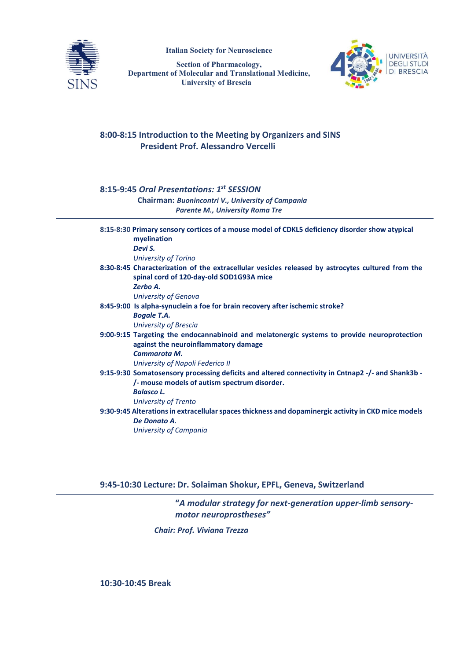

Italian Society for Neuroscience

Section of Pharmacology, Department of Molecular and Translational Medicine, University of Brescia



### **8:00-8:15 Introduction to the Meeting by Organizers and SINS President Prof. Alessandro Vercelli**

## **8:15-9:45** *Oral Presentations: 1st SESSION*

 **Chairman:** *Buonincontri V., University of Campania Parente M., University Roma Tre*

|                                                                                                      | 8:15-8:30 Primary sensory cortices of a mouse model of CDKL5 deficiency disorder show atypical<br>myelination                       |
|------------------------------------------------------------------------------------------------------|-------------------------------------------------------------------------------------------------------------------------------------|
|                                                                                                      | Devi S.                                                                                                                             |
|                                                                                                      | <b>University of Torino</b>                                                                                                         |
|                                                                                                      | 8:30-8:45 Characterization of the extracellular vesicles released by astrocytes cultured from the                                   |
|                                                                                                      | spinal cord of 120-day-old SOD1G93A mice                                                                                            |
|                                                                                                      | Zerbo A.                                                                                                                            |
|                                                                                                      | University of Genova                                                                                                                |
|                                                                                                      | 8:45-9:00 Is alpha-synuclein a foe for brain recovery after ischemic stroke?                                                        |
|                                                                                                      | <b>Bogale T.A.</b>                                                                                                                  |
|                                                                                                      | <b>University of Brescia</b>                                                                                                        |
|                                                                                                      | 9:00-9:15 Targeting the endocannabinoid and melatonergic systems to provide neuroprotection<br>against the neuroinflammatory damage |
|                                                                                                      | Cammarota M.                                                                                                                        |
|                                                                                                      | University of Napoli Federico II                                                                                                    |
|                                                                                                      | 9:15-9:30 Somatosensory processing deficits and altered connectivity in Cntnap2 -/- and Shank3b -                                   |
|                                                                                                      | /- mouse models of autism spectrum disorder.                                                                                        |
|                                                                                                      | <b>Balasco L.</b>                                                                                                                   |
|                                                                                                      | University of Trento                                                                                                                |
| 9:30-9:45 Alterations in extracellular spaces thickness and dopaminergic activity in CKD mice models |                                                                                                                                     |
|                                                                                                      | De Donato A.                                                                                                                        |
|                                                                                                      | University of Campania                                                                                                              |
|                                                                                                      |                                                                                                                                     |

**9:45-10:30 Lecture: Dr. Solaiman Shokur, EPFL, Geneva, Switzerland**

**"***A modular strategy for next-generation upper-limb sensorymotor neuroprostheses"*

 *Chair: Prof. Viviana Trezza*

**10:30-10:45 Break**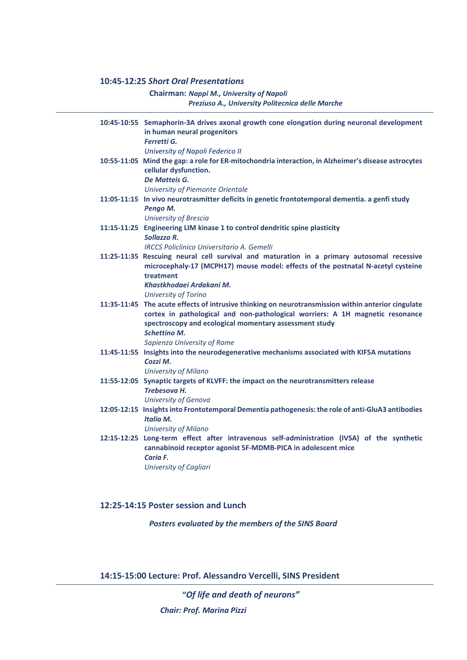#### **10:45-12:25** *Short Oral Presentations*

 **Chairman:** *Nappi M., University of Napoli Preziuso A., University Politecnica delle Marche*

| 10:45-10:55 Semaphorin-3A drives axonal growth cone elongation during neuronal development<br>in human neural progenitors<br><b>Ferretti G.</b>                                                                                               |
|-----------------------------------------------------------------------------------------------------------------------------------------------------------------------------------------------------------------------------------------------|
| University of Napoli Federico II                                                                                                                                                                                                              |
| 10:55-11:05 Mind the gap: a role for ER-mitochondria interaction, in Alzheimer's disease astrocytes<br>cellular dysfunction.                                                                                                                  |
| De Matteis G.                                                                                                                                                                                                                                 |
| University of Piemonte Orientale                                                                                                                                                                                                              |
| 11:05-11:15 In vivo neurotrasmitter deficits in genetic frontotemporal dementia. a genfi study                                                                                                                                                |
| Pengo M.                                                                                                                                                                                                                                      |
| <b>University of Brescia</b>                                                                                                                                                                                                                  |
| 11:15-11:25 Engineering LIM kinase 1 to control dendritic spine plasticity<br>Sollazzo R.                                                                                                                                                     |
| <b>IRCCS Policlinico Universitario A. Gemelli</b>                                                                                                                                                                                             |
| 11:25-11:35 Rescuing neural cell survival and maturation in a primary autosomal recessive<br>microcephaly-17 (MCPH17) mouse model: effects of the postnatal N-acetyl cysteine                                                                 |
| treatment                                                                                                                                                                                                                                     |
| Khastkhodaei Ardakani M.                                                                                                                                                                                                                      |
| <b>University of Torino</b>                                                                                                                                                                                                                   |
| 11:35-11:45 The acute effects of intrusive thinking on neurotransmission within anterior cingulate<br>cortex in pathological and non-pathological worriers: A 1H magnetic resonance<br>spectroscopy and ecological momentary assessment study |
| <b>Schettino M.</b>                                                                                                                                                                                                                           |
| Sapienza University of Rome                                                                                                                                                                                                                   |
| 11:45-11:55 Insights into the neurodegenerative mechanisms associated with KIF5A mutations<br>Cozzi M.                                                                                                                                        |
| <b>University of Milano</b>                                                                                                                                                                                                                   |
| 11:55-12:05 Synaptic targets of KLVFF: the impact on the neurotransmitters release<br>Trebesova H.                                                                                                                                            |
| University of Genova                                                                                                                                                                                                                          |
| 12:05-12:15 Insights into Frontotemporal Dementia pathogenesis: the role of anti-GluA3 antibodies<br><b>Italia M.</b>                                                                                                                         |
| <b>University of Milano</b>                                                                                                                                                                                                                   |
| 12:15-12:25 Long-term effect after intravenous self-administration (IVSA) of the synthetic                                                                                                                                                    |
| cannabinoid receptor agonist 5F-MDMB-PICA in adolescent mice                                                                                                                                                                                  |
| <b>Caria F.</b>                                                                                                                                                                                                                               |
| University of Cagliari                                                                                                                                                                                                                        |

### **12:25-14:15 Poster session and Lunch**

 *Posters evaluated by the members of the SINS Board*

**14:15-15:00 Lecture: Prof. Alessandro Vercelli, SINS President**

 **"***Of life and death of neurons"*

 *Chair: Prof. Marina Pizzi*